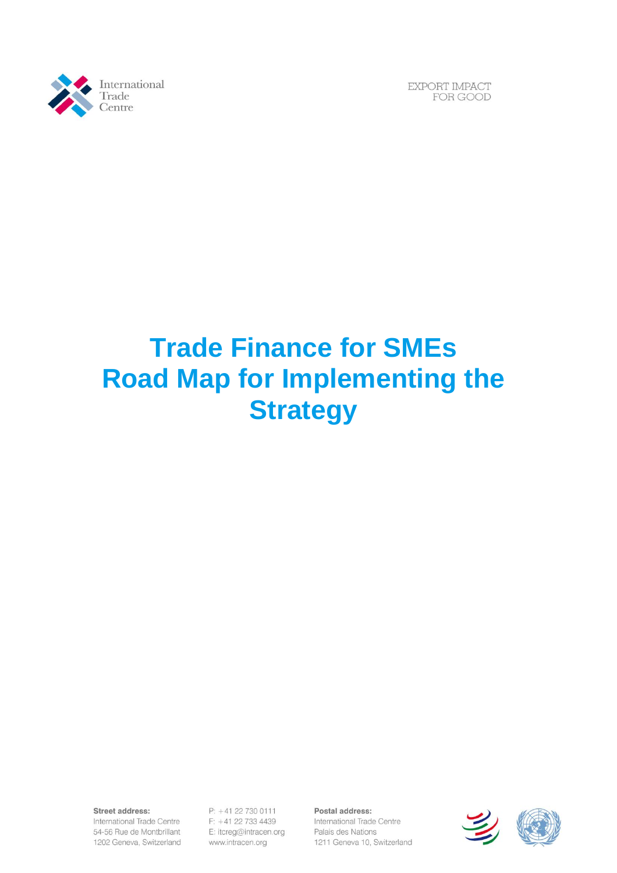

EXPORT IMPACT FOR GOOD

# **Trade Finance for SMEs Road Map for Implementing the Strategy**

Street address:

International Trade Centre 54-56 Rue de Montbrillant 1202 Geneva, Switzerland

P: +41 22 730 0111 F: +41 22 733 4439 E: itcreg@intracen.org www.intracen.org

Postal address: International Trade Centre Palais des Nations 1211 Geneva 10, Switzerland

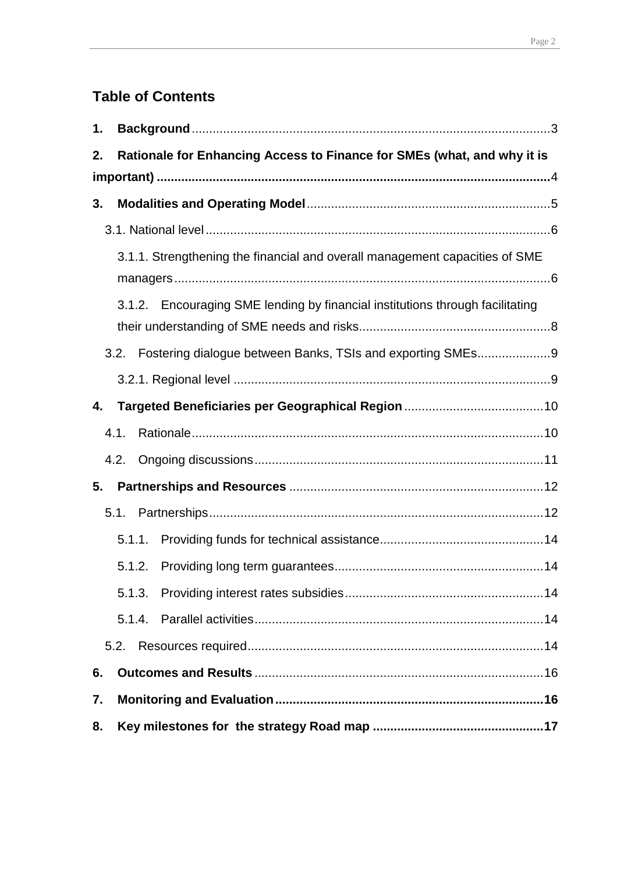## **Table of Contents**

| 1. |                                                                               |  |
|----|-------------------------------------------------------------------------------|--|
| 2. | Rationale for Enhancing Access to Finance for SMEs (what, and why it is       |  |
|    |                                                                               |  |
| 3. |                                                                               |  |
|    |                                                                               |  |
|    | 3.1.1. Strengthening the financial and overall management capacities of SME   |  |
|    |                                                                               |  |
|    | 3.1.2. Encouraging SME lending by financial institutions through facilitating |  |
|    | 3.2. Fostering dialogue between Banks, TSIs and exporting SMEs9               |  |
|    |                                                                               |  |
| 4. |                                                                               |  |
|    | 4.1.                                                                          |  |
|    | 4.2.                                                                          |  |
| 5. |                                                                               |  |
|    | 5.1.                                                                          |  |
|    | 5.1.1.                                                                        |  |
|    | 5.1.2.                                                                        |  |
|    | 5.1.3.                                                                        |  |
|    |                                                                               |  |
|    | 5.2.                                                                          |  |
| 6. |                                                                               |  |
| 7. |                                                                               |  |
| 8. |                                                                               |  |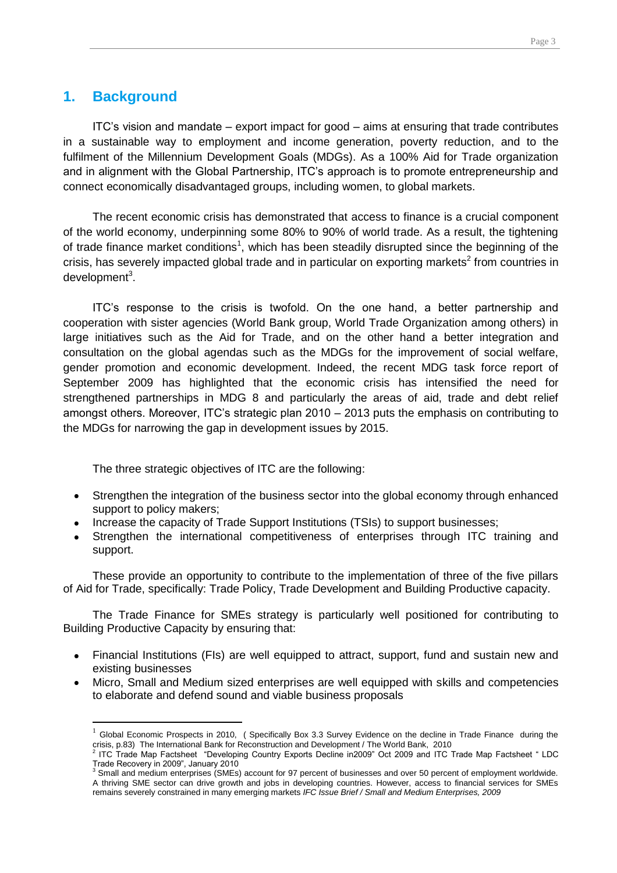## <span id="page-2-0"></span>**1. Background**

 $\overline{a}$ 

ITC's vision and mandate – export impact for good – aims at ensuring that trade contributes in a sustainable way to employment and income generation, poverty reduction, and to the fulfilment of the Millennium Development Goals (MDGs). As a 100% Aid for Trade organization and in alignment with the Global Partnership, ITC's approach is to promote entrepreneurship and connect economically disadvantaged groups, including women, to global markets.

The recent economic crisis has demonstrated that access to finance is a crucial component of the world economy, underpinning some 80% to 90% of world trade. As a result, the tightening of trade finance market conditions<sup>1</sup>, which has been steadily disrupted since the beginning of the crisis, has severely impacted global trade and in particular on exporting markets<sup>2</sup> from countries in development<sup>3</sup>.

ITC's response to the crisis is twofold. On the one hand, a better partnership and cooperation with sister agencies (World Bank group, World Trade Organization among others) in large initiatives such as the Aid for Trade, and on the other hand a better integration and consultation on the global agendas such as the MDGs for the improvement of social welfare, gender promotion and economic development. Indeed, the recent MDG task force report of September 2009 has highlighted that the economic crisis has intensified the need for strengthened partnerships in MDG 8 and particularly the areas of aid, trade and debt relief amongst others. Moreover, ITC's strategic plan 2010 – 2013 puts the emphasis on contributing to the MDGs for narrowing the gap in development issues by 2015.

The three strategic objectives of ITC are the following:

- Strengthen the integration of the business sector into the global economy through enhanced  $\bullet$ support to policy makers;
- Increase the capacity of Trade Support Institutions (TSIs) to support businesses;
- Strengthen the international competitiveness of enterprises through ITC training and support.

These provide an opportunity to contribute to the implementation of three of the five pillars of Aid for Trade, specifically: Trade Policy, Trade Development and Building Productive capacity.

The Trade Finance for SMEs strategy is particularly well positioned for contributing to Building Productive Capacity by ensuring that:

- Financial Institutions (FIs) are well equipped to attract, support, fund and sustain new and existing businesses
- Micro, Small and Medium sized enterprises are well equipped with skills and competencies to elaborate and defend sound and viable business proposals

 $1$  Global Economic Prospects in 2010, (Specifically Box 3.3 Survey Evidence on the decline in Trade Finance during the crisis, p.83) The International Bank for Reconstruction and Development / The World Bank, 2010<br><sup>2</sup> ITC Trade Map Factsheet "Developing Country Exports Decline in2009" Oct 2009 and ITC Trade Map Factsheet " LDC

Trade Recovery in 2009", January 2010<br><sup>3</sup> Small and modulm opterprises (SMEs)

Small and medium enterprises (SMEs) account for 97 percent of businesses and over 50 percent of employment worldwide. A thriving SME sector can drive growth and jobs in developing countries. However, access to financial services for SMEs remains severely constrained in many emerging markets *IFC Issue Brief / Small and Medium Enterprises, 2009*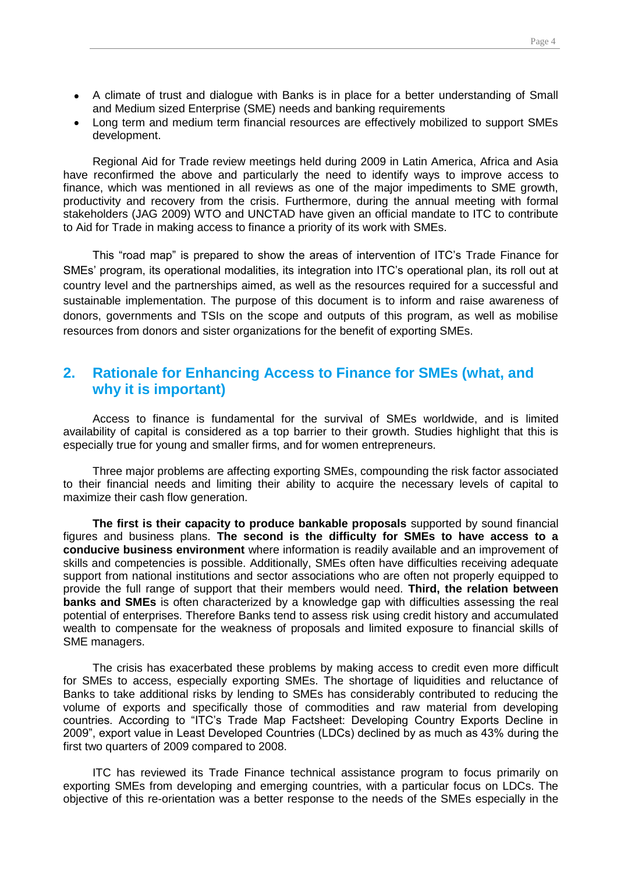- Page 4
- A climate of trust and dialogue with Banks is in place for a better understanding of Small and Medium sized Enterprise (SME) needs and banking requirements
- Long term and medium term financial resources are effectively mobilized to support SMEs development.

Regional Aid for Trade review meetings held during 2009 in Latin America, Africa and Asia have reconfirmed the above and particularly the need to identify ways to improve access to finance, which was mentioned in all reviews as one of the major impediments to SME growth, productivity and recovery from the crisis. Furthermore, during the annual meeting with formal stakeholders (JAG 2009) WTO and UNCTAD have given an official mandate to ITC to contribute to Aid for Trade in making access to finance a priority of its work with SMEs.

This "road map" is prepared to show the areas of intervention of ITC's Trade Finance for SMEs' program, its operational modalities, its integration into ITC's operational plan, its roll out at country level and the partnerships aimed, as well as the resources required for a successful and sustainable implementation. The purpose of this document is to inform and raise awareness of donors, governments and TSIs on the scope and outputs of this program, as well as mobilise resources from donors and sister organizations for the benefit of exporting SMEs.

## <span id="page-3-0"></span>**2. Rationale for Enhancing Access to Finance for SMEs (what, and why it is important)**

Access to finance is fundamental for the survival of SMEs worldwide, and is limited availability of capital is considered as a top barrier to their growth. Studies highlight that this is especially true for young and smaller firms, and for women entrepreneurs.

Three major problems are affecting exporting SMEs, compounding the risk factor associated to their financial needs and limiting their ability to acquire the necessary levels of capital to maximize their cash flow generation.

**The first is their capacity to produce bankable proposals** supported by sound financial figures and business plans. **The second is the difficulty for SMEs to have access to a conducive business environment** where information is readily available and an improvement of skills and competencies is possible. Additionally, SMEs often have difficulties receiving adequate support from national institutions and sector associations who are often not properly equipped to provide the full range of support that their members would need. **Third, the relation between banks and SMEs** is often characterized by a knowledge gap with difficulties assessing the real potential of enterprises. Therefore Banks tend to assess risk using credit history and accumulated wealth to compensate for the weakness of proposals and limited exposure to financial skills of SME managers.

The crisis has exacerbated these problems by making access to credit even more difficult for SMEs to access, especially exporting SMEs. The shortage of liquidities and reluctance of Banks to take additional risks by lending to SMEs has considerably contributed to reducing the volume of exports and specifically those of commodities and raw material from developing countries. According to "ITC's Trade Map Factsheet: Developing Country Exports Decline in 2009", export value in Least Developed Countries (LDCs) declined by as much as 43% during the first two quarters of 2009 compared to 2008.

ITC has reviewed its Trade Finance technical assistance program to focus primarily on exporting SMEs from developing and emerging countries, with a particular focus on LDCs. The objective of this re-orientation was a better response to the needs of the SMEs especially in the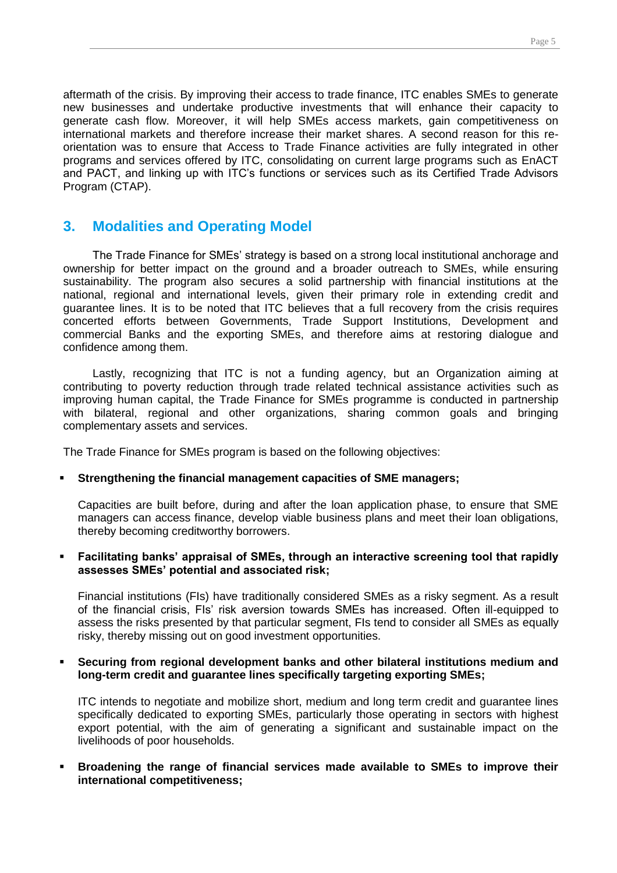aftermath of the crisis. By improving their access to trade finance, ITC enables SMEs to generate new businesses and undertake productive investments that will enhance their capacity to generate cash flow. Moreover, it will help SMEs access markets, gain competitiveness on international markets and therefore increase their market shares. A second reason for this reorientation was to ensure that Access to Trade Finance activities are fully integrated in other programs and services offered by ITC, consolidating on current large programs such as EnACT and PACT, and linking up with ITC's functions or services such as its Certified Trade Advisors Program (CTAP).

## <span id="page-4-0"></span>**3. Modalities and Operating Model**

The Trade Finance for SMEs' strategy is based on a strong local institutional anchorage and ownership for better impact on the ground and a broader outreach to SMEs, while ensuring sustainability. The program also secures a solid partnership with financial institutions at the national, regional and international levels, given their primary role in extending credit and guarantee lines. It is to be noted that ITC believes that a full recovery from the crisis requires concerted efforts between Governments, Trade Support Institutions, Development and commercial Banks and the exporting SMEs, and therefore aims at restoring dialogue and confidence among them.

Lastly, recognizing that ITC is not a funding agency, but an Organization aiming at contributing to poverty reduction through trade related technical assistance activities such as improving human capital, the Trade Finance for SMEs programme is conducted in partnership with bilateral, regional and other organizations, sharing common goals and bringing complementary assets and services.

The Trade Finance for SMEs program is based on the following objectives:

#### **Strengthening the financial management capacities of SME managers;**

Capacities are built before, during and after the loan application phase, to ensure that SME managers can access finance, develop viable business plans and meet their loan obligations, thereby becoming creditworthy borrowers.

#### **Facilitating banks' appraisal of SMEs, through an interactive screening tool that rapidly assesses SMEs' potential and associated risk;**

Financial institutions (FIs) have traditionally considered SMEs as a risky segment. As a result of the financial crisis, FIs' risk aversion towards SMEs has increased. Often ill-equipped to assess the risks presented by that particular segment, FIs tend to consider all SMEs as equally risky, thereby missing out on good investment opportunities.

#### **Securing from regional development banks and other bilateral institutions medium and long-term credit and guarantee lines specifically targeting exporting SMEs;**

ITC intends to negotiate and mobilize short, medium and long term credit and guarantee lines specifically dedicated to exporting SMEs, particularly those operating in sectors with highest export potential, with the aim of generating a significant and sustainable impact on the livelihoods of poor households.

 **Broadening the range of financial services made available to SMEs to improve their international competitiveness;**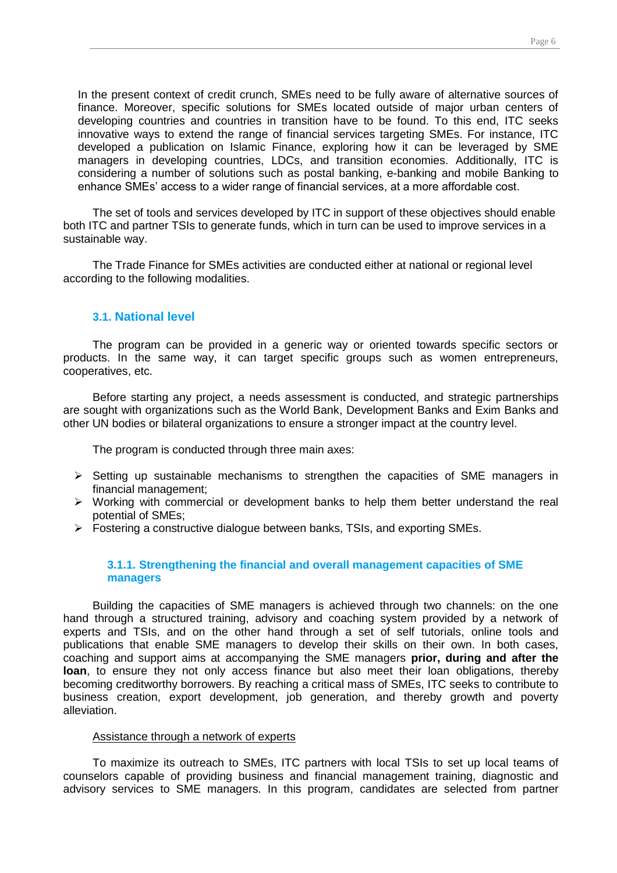In the present context of credit crunch, SMEs need to be fully aware of alternative sources of finance. Moreover, specific solutions for SMEs located outside of major urban centers of developing countries and countries in transition have to be found. To this end, ITC seeks innovative ways to extend the range of financial services targeting SMEs. For instance, ITC developed a publication on Islamic Finance, exploring how it can be leveraged by SME managers in developing countries, LDCs, and transition economies. Additionally, ITC is considering a number of solutions such as postal banking, e-banking and mobile Banking to enhance SMEs' access to a wider range of financial services, at a more affordable cost.

The set of tools and services developed by ITC in support of these objectives should enable both ITC and partner TSIs to generate funds, which in turn can be used to improve services in a sustainable way.

The Trade Finance for SMEs activities are conducted either at national or regional level according to the following modalities.

#### <span id="page-5-0"></span>**3.1. National level**

The program can be provided in a generic way or oriented towards specific sectors or products. In the same way, it can target specific groups such as women entrepreneurs, cooperatives, etc.

Before starting any project, a needs assessment is conducted, and strategic partnerships are sought with organizations such as the World Bank, Development Banks and Exim Banks and other UN bodies or bilateral organizations to ensure a stronger impact at the country level.

The program is conducted through three main axes:

- $\triangleright$  Setting up sustainable mechanisms to strengthen the capacities of SME managers in financial management;
- Working with commercial or development banks to help them better understand the real potential of SMEs;
- Fostering a constructive dialogue between banks, TSIs, and exporting SMEs.

#### <span id="page-5-1"></span>**3.1.1. Strengthening the financial and overall management capacities of SME managers**

Building the capacities of SME managers is achieved through two channels: on the one hand through a structured training, advisory and coaching system provided by a network of experts and TSIs, and on the other hand through a set of self tutorials, online tools and publications that enable SME managers to develop their skills on their own. In both cases, coaching and support aims at accompanying the SME managers **prior, during and after the loan**, to ensure they not only access finance but also meet their loan obligations, thereby becoming creditworthy borrowers. By reaching a critical mass of SMEs, ITC seeks to contribute to business creation, export development, job generation, and thereby growth and poverty alleviation.

#### Assistance through a network of experts

To maximize its outreach to SMEs, ITC partners with local TSIs to set up local teams of counselors capable of providing business and financial management training, diagnostic and advisory services to SME managers. In this program, candidates are selected from partner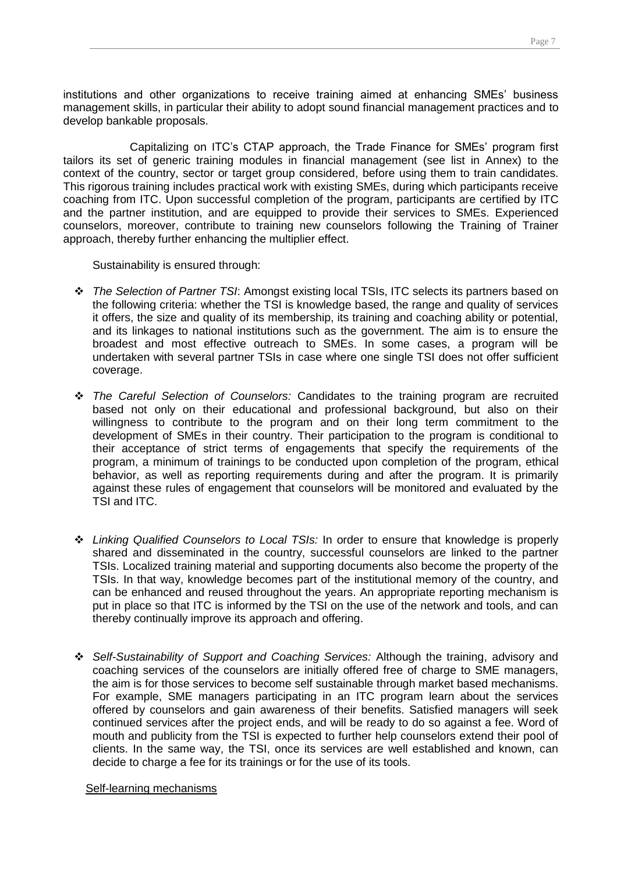institutions and other organizations to receive training aimed at enhancing SMEs' business management skills, in particular their ability to adopt sound financial management practices and to develop bankable proposals.

Capitalizing on ITC's CTAP approach, the Trade Finance for SMEs' program first tailors its set of generic training modules in financial management (see list in Annex) to the context of the country, sector or target group considered, before using them to train candidates. This rigorous training includes practical work with existing SMEs, during which participants receive coaching from ITC. Upon successful completion of the program, participants are certified by ITC and the partner institution, and are equipped to provide their services to SMEs. Experienced counselors, moreover, contribute to training new counselors following the Training of Trainer approach, thereby further enhancing the multiplier effect.

Sustainability is ensured through:

- *The Selection of Partner TSI*: Amongst existing local TSIs, ITC selects its partners based on the following criteria: whether the TSI is knowledge based, the range and quality of services it offers, the size and quality of its membership, its training and coaching ability or potential, and its linkages to national institutions such as the government. The aim is to ensure the broadest and most effective outreach to SMEs. In some cases, a program will be undertaken with several partner TSIs in case where one single TSI does not offer sufficient coverage.
- *The Careful Selection of Counselors:* Candidates to the training program are recruited based not only on their educational and professional background, but also on their willingness to contribute to the program and on their long term commitment to the development of SMEs in their country. Their participation to the program is conditional to their acceptance of strict terms of engagements that specify the requirements of the program, a minimum of trainings to be conducted upon completion of the program, ethical behavior, as well as reporting requirements during and after the program. It is primarily against these rules of engagement that counselors will be monitored and evaluated by the TSI and ITC.
- *Linking Qualified Counselors to Local TSIs:* In order to ensure that knowledge is properly shared and disseminated in the country, successful counselors are linked to the partner TSIs. Localized training material and supporting documents also become the property of the TSIs. In that way, knowledge becomes part of the institutional memory of the country, and can be enhanced and reused throughout the years. An appropriate reporting mechanism is put in place so that ITC is informed by the TSI on the use of the network and tools, and can thereby continually improve its approach and offering.
- *Self-Sustainability of Support and Coaching Services:* Although the training, advisory and coaching services of the counselors are initially offered free of charge to SME managers, the aim is for those services to become self sustainable through market based mechanisms. For example, SME managers participating in an ITC program learn about the services offered by counselors and gain awareness of their benefits. Satisfied managers will seek continued services after the project ends, and will be ready to do so against a fee. Word of mouth and publicity from the TSI is expected to further help counselors extend their pool of clients. In the same way, the TSI, once its services are well established and known, can decide to charge a fee for its trainings or for the use of its tools.

#### Self-learning mechanisms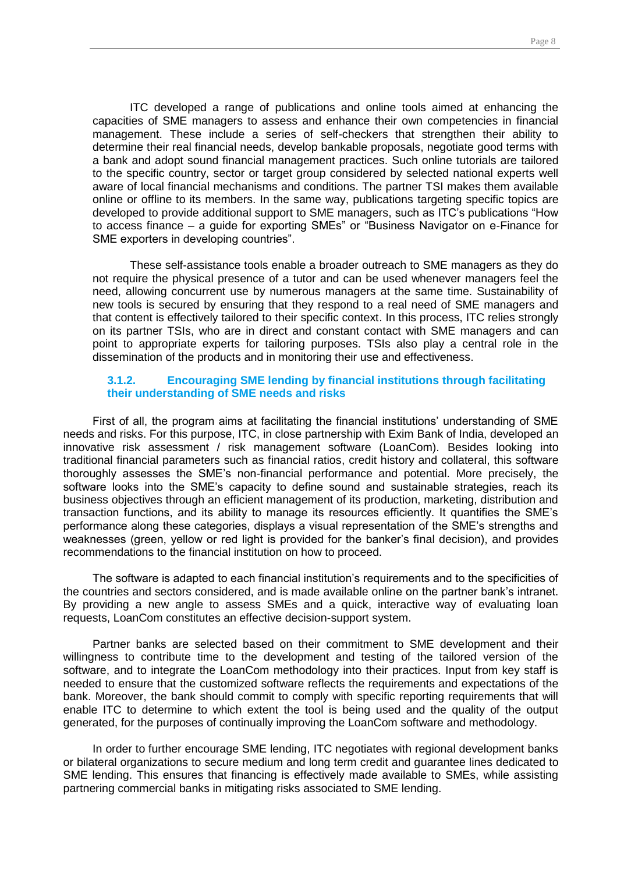ITC developed a range of publications and online tools aimed at enhancing the capacities of SME managers to assess and enhance their own competencies in financial management. These include a series of self-checkers that strengthen their ability to determine their real financial needs, develop bankable proposals, negotiate good terms with a bank and adopt sound financial management practices. Such online tutorials are tailored to the specific country, sector or target group considered by selected national experts well aware of local financial mechanisms and conditions. The partner TSI makes them available online or offline to its members. In the same way, publications targeting specific topics are developed to provide additional support to SME managers, such as ITC's publications "How to access finance – a guide for exporting SMEs" or "Business Navigator on e-Finance for SME exporters in developing countries".

These self-assistance tools enable a broader outreach to SME managers as they do not require the physical presence of a tutor and can be used whenever managers feel the need, allowing concurrent use by numerous managers at the same time. Sustainability of new tools is secured by ensuring that they respond to a real need of SME managers and that content is effectively tailored to their specific context. In this process, ITC relies strongly on its partner TSIs, who are in direct and constant contact with SME managers and can point to appropriate experts for tailoring purposes. TSIs also play a central role in the dissemination of the products and in monitoring their use and effectiveness.

#### <span id="page-7-0"></span>**3.1.2. Encouraging SME lending by financial institutions through facilitating their understanding of SME needs and risks**

First of all, the program aims at facilitating the financial institutions' understanding of SME needs and risks. For this purpose, ITC, in close partnership with Exim Bank of India, developed an innovative risk assessment / risk management software (LoanCom). Besides looking into traditional financial parameters such as financial ratios, credit history and collateral, this software thoroughly assesses the SME's non-financial performance and potential. More precisely, the software looks into the SME's capacity to define sound and sustainable strategies, reach its business objectives through an efficient management of its production, marketing, distribution and transaction functions, and its ability to manage its resources efficiently. It quantifies the SME's performance along these categories, displays a visual representation of the SME's strengths and weaknesses (green, yellow or red light is provided for the banker's final decision), and provides recommendations to the financial institution on how to proceed.

The software is adapted to each financial institution's requirements and to the specificities of the countries and sectors considered, and is made available online on the partner bank's intranet. By providing a new angle to assess SMEs and a quick, interactive way of evaluating loan requests, LoanCom constitutes an effective decision-support system.

Partner banks are selected based on their commitment to SME development and their willingness to contribute time to the development and testing of the tailored version of the software, and to integrate the LoanCom methodology into their practices. Input from key staff is needed to ensure that the customized software reflects the requirements and expectations of the bank. Moreover, the bank should commit to comply with specific reporting requirements that will enable ITC to determine to which extent the tool is being used and the quality of the output generated, for the purposes of continually improving the LoanCom software and methodology.

In order to further encourage SME lending, ITC negotiates with regional development banks or bilateral organizations to secure medium and long term credit and guarantee lines dedicated to SME lending. This ensures that financing is effectively made available to SMEs, while assisting partnering commercial banks in mitigating risks associated to SME lending.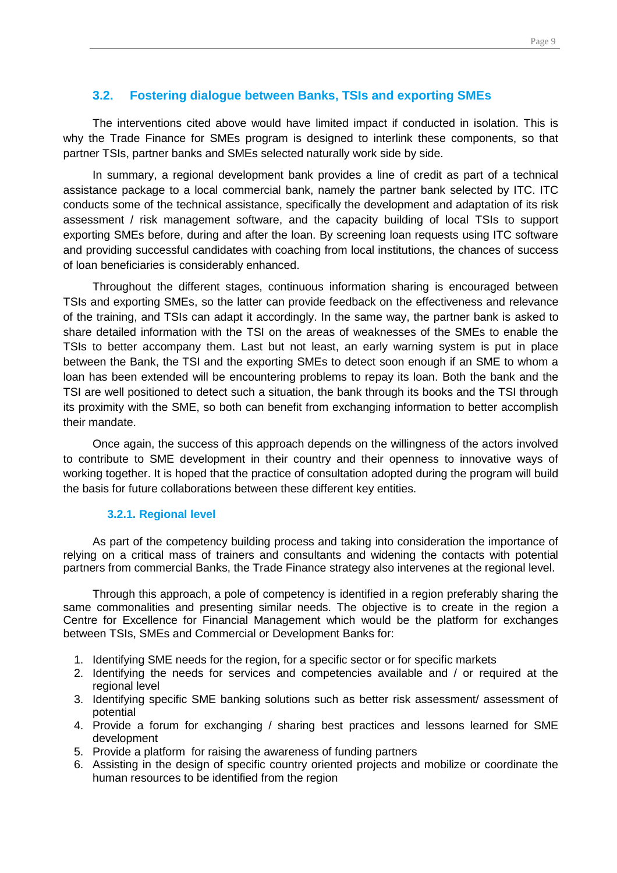#### <span id="page-8-0"></span>**3.2. Fostering dialogue between Banks, TSIs and exporting SMEs**

The interventions cited above would have limited impact if conducted in isolation. This is why the Trade Finance for SMEs program is designed to interlink these components, so that partner TSIs, partner banks and SMEs selected naturally work side by side.

In summary, a regional development bank provides a line of credit as part of a technical assistance package to a local commercial bank, namely the partner bank selected by ITC. ITC conducts some of the technical assistance, specifically the development and adaptation of its risk assessment / risk management software, and the capacity building of local TSIs to support exporting SMEs before, during and after the loan. By screening loan requests using ITC software and providing successful candidates with coaching from local institutions, the chances of success of loan beneficiaries is considerably enhanced.

Throughout the different stages, continuous information sharing is encouraged between TSIs and exporting SMEs, so the latter can provide feedback on the effectiveness and relevance of the training, and TSIs can adapt it accordingly. In the same way, the partner bank is asked to share detailed information with the TSI on the areas of weaknesses of the SMEs to enable the TSIs to better accompany them. Last but not least, an early warning system is put in place between the Bank, the TSI and the exporting SMEs to detect soon enough if an SME to whom a loan has been extended will be encountering problems to repay its loan. Both the bank and the TSI are well positioned to detect such a situation, the bank through its books and the TSI through its proximity with the SME, so both can benefit from exchanging information to better accomplish their mandate.

Once again, the success of this approach depends on the willingness of the actors involved to contribute to SME development in their country and their openness to innovative ways of working together. It is hoped that the practice of consultation adopted during the program will build the basis for future collaborations between these different key entities.

#### <span id="page-8-1"></span>**3.2.1. Regional level**

As part of the competency building process and taking into consideration the importance of relying on a critical mass of trainers and consultants and widening the contacts with potential partners from commercial Banks, the Trade Finance strategy also intervenes at the regional level.

Through this approach, a pole of competency is identified in a region preferably sharing the same commonalities and presenting similar needs. The objective is to create in the region a Centre for Excellence for Financial Management which would be the platform for exchanges between TSIs, SMEs and Commercial or Development Banks for:

- 1. Identifying SME needs for the region, for a specific sector or for specific markets
- 2. Identifying the needs for services and competencies available and / or required at the regional level
- 3. Identifying specific SME banking solutions such as better risk assessment/ assessment of potential
- 4. Provide a forum for exchanging / sharing best practices and lessons learned for SME development
- 5. Provide a platform for raising the awareness of funding partners
- 6. Assisting in the design of specific country oriented projects and mobilize or coordinate the human resources to be identified from the region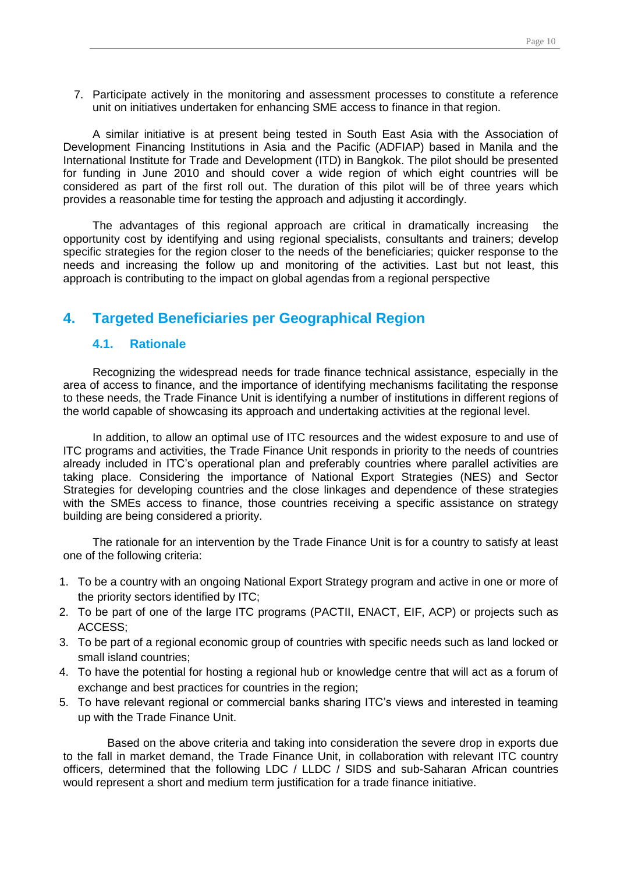7. Participate actively in the monitoring and assessment processes to constitute a reference unit on initiatives undertaken for enhancing SME access to finance in that region.

A similar initiative is at present being tested in South East Asia with the Association of Development Financing Institutions in Asia and the Pacific (ADFIAP) based in Manila and the International Institute for Trade and Development (ITD) in Bangkok. The pilot should be presented for funding in June 2010 and should cover a wide region of which eight countries will be considered as part of the first roll out. The duration of this pilot will be of three years which provides a reasonable time for testing the approach and adjusting it accordingly.

The advantages of this regional approach are critical in dramatically increasing the opportunity cost by identifying and using regional specialists, consultants and trainers; develop specific strategies for the region closer to the needs of the beneficiaries; quicker response to the needs and increasing the follow up and monitoring of the activities. Last but not least, this approach is contributing to the impact on global agendas from a regional perspective

## <span id="page-9-0"></span>**4. Targeted Beneficiaries per Geographical Region**

## <span id="page-9-1"></span>**4.1. Rationale**

Recognizing the widespread needs for trade finance technical assistance, especially in the area of access to finance, and the importance of identifying mechanisms facilitating the response to these needs, the Trade Finance Unit is identifying a number of institutions in different regions of the world capable of showcasing its approach and undertaking activities at the regional level.

In addition, to allow an optimal use of ITC resources and the widest exposure to and use of ITC programs and activities, the Trade Finance Unit responds in priority to the needs of countries already included in ITC's operational plan and preferably countries where parallel activities are taking place. Considering the importance of National Export Strategies (NES) and Sector Strategies for developing countries and the close linkages and dependence of these strategies with the SMEs access to finance, those countries receiving a specific assistance on strategy building are being considered a priority.

The rationale for an intervention by the Trade Finance Unit is for a country to satisfy at least one of the following criteria:

- 1. To be a country with an ongoing National Export Strategy program and active in one or more of the priority sectors identified by ITC;
- 2. To be part of one of the large ITC programs (PACTII, ENACT, EIF, ACP) or projects such as ACCESS;
- 3. To be part of a regional economic group of countries with specific needs such as land locked or small island countries;
- 4. To have the potential for hosting a regional hub or knowledge centre that will act as a forum of exchange and best practices for countries in the region;
- 5. To have relevant regional or commercial banks sharing ITC's views and interested in teaming up with the Trade Finance Unit.

Based on the above criteria and taking into consideration the severe drop in exports due to the fall in market demand, the Trade Finance Unit, in collaboration with relevant ITC country officers, determined that the following LDC / LLDC / SIDS and sub-Saharan African countries would represent a short and medium term justification for a trade finance initiative.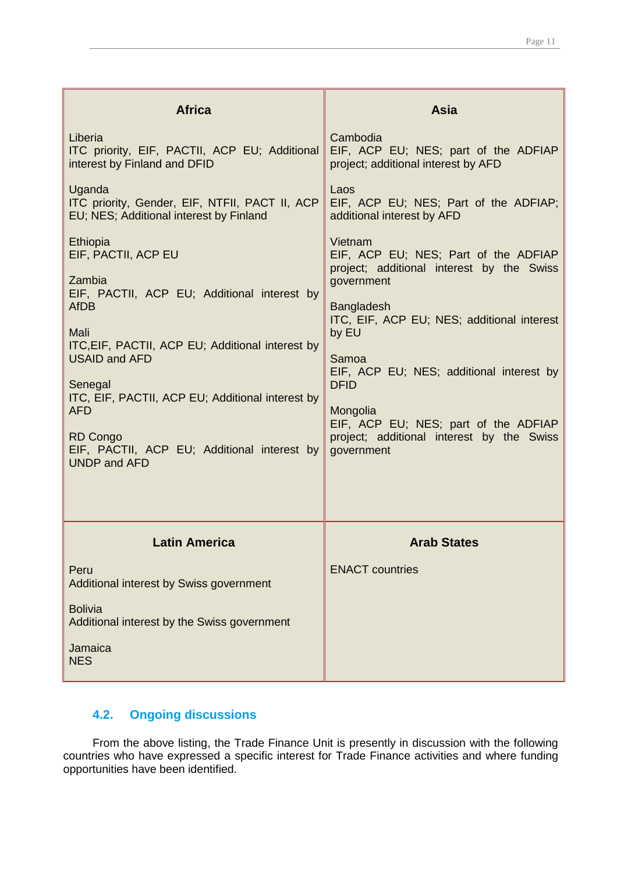| <b>Africa</b>                                                                                                                                                                                                                                                                                                                                                     | <b>Asia</b>                                                                                                                                                                                                                                                                                                                                                               |
|-------------------------------------------------------------------------------------------------------------------------------------------------------------------------------------------------------------------------------------------------------------------------------------------------------------------------------------------------------------------|---------------------------------------------------------------------------------------------------------------------------------------------------------------------------------------------------------------------------------------------------------------------------------------------------------------------------------------------------------------------------|
| Liberia<br>ITC priority, EIF, PACTII, ACP EU; Additional<br>interest by Finland and DFID                                                                                                                                                                                                                                                                          | Cambodia<br>EIF, ACP EU; NES; part of the ADFIAP<br>project; additional interest by AFD                                                                                                                                                                                                                                                                                   |
| Uganda<br>ITC priority, Gender, EIF, NTFII, PACT II, ACP<br>EU; NES; Additional interest by Finland                                                                                                                                                                                                                                                               | Laos<br>EIF, ACP EU; NES; Part of the ADFIAP;<br>additional interest by AFD                                                                                                                                                                                                                                                                                               |
| Ethiopia<br>EIF, PACTII, ACP EU<br>Zambia<br>EIF, PACTII, ACP EU; Additional interest by<br><b>AfDB</b><br>Mali<br>ITC, EIF, PACTII, ACP EU; Additional interest by<br><b>USAID and AFD</b><br>Senegal<br>ITC, EIF, PACTII, ACP EU; Additional interest by<br><b>AFD</b><br><b>RD Congo</b><br>EIF, PACTII, ACP EU; Additional interest by<br><b>UNDP and AFD</b> | Vietnam<br>EIF, ACP EU; NES; Part of the ADFIAP<br>project; additional interest by the Swiss<br>government<br><b>Bangladesh</b><br>ITC, EIF, ACP EU; NES; additional interest<br>by EU<br>Samoa<br>EIF, ACP EU; NES; additional interest by<br><b>DFID</b><br>Mongolia<br>EIF, ACP EU; NES; part of the ADFIAP<br>project; additional interest by the Swiss<br>government |
|                                                                                                                                                                                                                                                                                                                                                                   |                                                                                                                                                                                                                                                                                                                                                                           |
| <b>Latin America</b>                                                                                                                                                                                                                                                                                                                                              | <b>Arab States</b>                                                                                                                                                                                                                                                                                                                                                        |
| Peru<br>Additional interest by Swiss government                                                                                                                                                                                                                                                                                                                   | <b>ENACT</b> countries                                                                                                                                                                                                                                                                                                                                                    |
| <b>Bolivia</b><br>Additional interest by the Swiss government                                                                                                                                                                                                                                                                                                     |                                                                                                                                                                                                                                                                                                                                                                           |
| Jamaica<br><b>NES</b>                                                                                                                                                                                                                                                                                                                                             |                                                                                                                                                                                                                                                                                                                                                                           |

## <span id="page-10-0"></span>**4.2. Ongoing discussions**

From the above listing, the Trade Finance Unit is presently in discussion with the following countries who have expressed a specific interest for Trade Finance activities and where funding opportunities have been identified.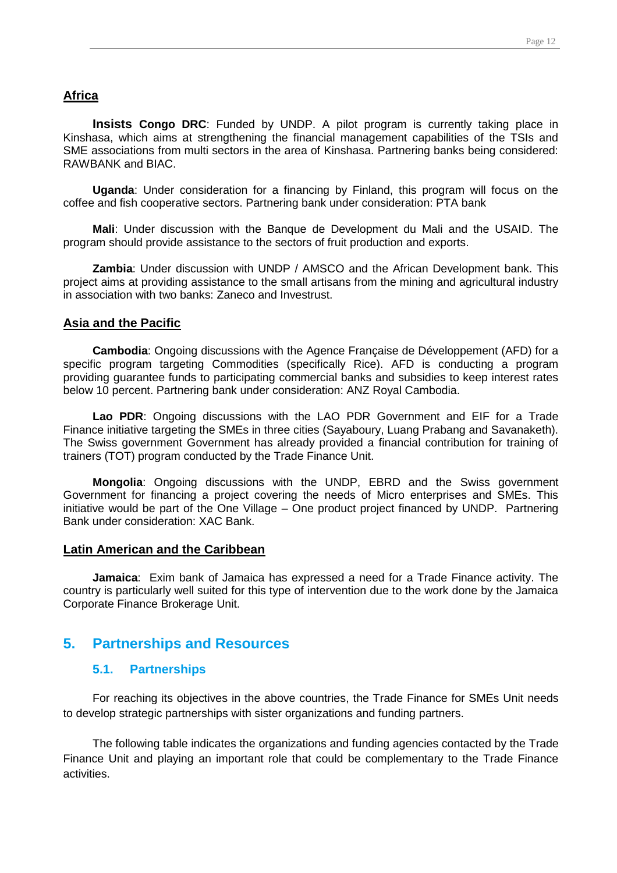#### **Africa**

**Insists Congo DRC**: Funded by UNDP. A pilot program is currently taking place in Kinshasa, which aims at strengthening the financial management capabilities of the TSIs and SME associations from multi sectors in the area of Kinshasa. Partnering banks being considered: RAWBANK and BIAC.

**Uganda**: Under consideration for a financing by Finland, this program will focus on the coffee and fish cooperative sectors. Partnering bank under consideration: PTA bank

**Mali**: Under discussion with the Banque de Development du Mali and the USAID. The program should provide assistance to the sectors of fruit production and exports.

**Zambia**: Under discussion with UNDP / AMSCO and the African Development bank. This project aims at providing assistance to the small artisans from the mining and agricultural industry in association with two banks: Zaneco and Investrust.

#### **Asia and the Pacific**

**Cambodia**: Ongoing discussions with the Agence Française de Développement (AFD) for a specific program targeting Commodities (specifically Rice). AFD is conducting a program providing guarantee funds to participating commercial banks and subsidies to keep interest rates below 10 percent. Partnering bank under consideration: ANZ Royal Cambodia.

**Lao PDR**: Ongoing discussions with the LAO PDR Government and EIF for a Trade Finance initiative targeting the SMEs in three cities (Sayaboury, Luang Prabang and Savanaketh). The Swiss government Government has already provided a financial contribution for training of trainers (TOT) program conducted by the Trade Finance Unit.

**Mongolia**: Ongoing discussions with the UNDP, EBRD and the Swiss government Government for financing a project covering the needs of Micro enterprises and SMEs. This initiative would be part of the One Village – One product project financed by UNDP. Partnering Bank under consideration: XAC Bank.

#### **Latin American and the Caribbean**

**Jamaica**: Exim bank of Jamaica has expressed a need for a Trade Finance activity. The country is particularly well suited for this type of intervention due to the work done by the Jamaica Corporate Finance Brokerage Unit.

#### <span id="page-11-0"></span>**5. Partnerships and Resources**

#### <span id="page-11-1"></span>**5.1. Partnerships**

For reaching its objectives in the above countries, the Trade Finance for SMEs Unit needs to develop strategic partnerships with sister organizations and funding partners.

The following table indicates the organizations and funding agencies contacted by the Trade Finance Unit and playing an important role that could be complementary to the Trade Finance activities.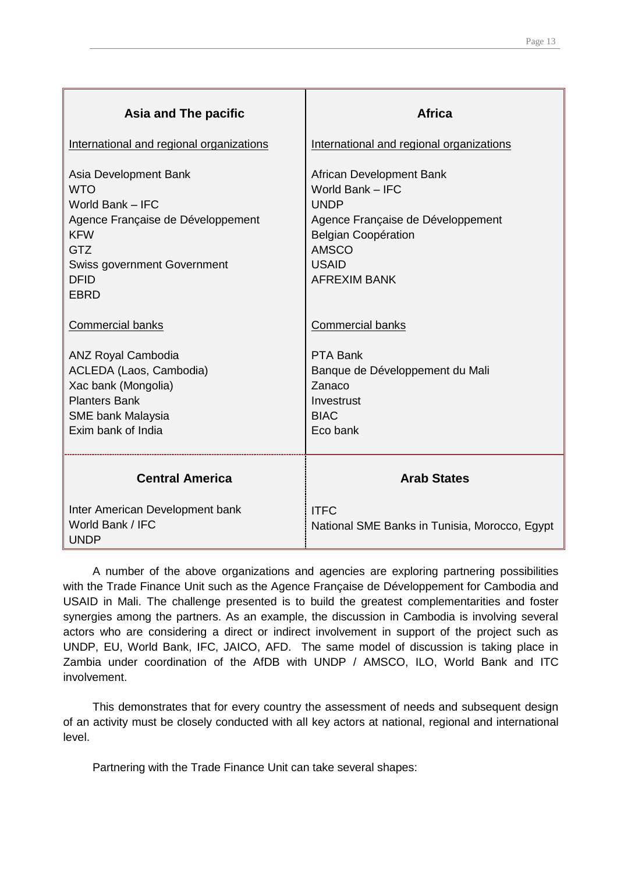| Asia and The pacific                                                                                                                                                                         | <b>Africa</b>                                                                                                                                                                         |
|----------------------------------------------------------------------------------------------------------------------------------------------------------------------------------------------|---------------------------------------------------------------------------------------------------------------------------------------------------------------------------------------|
| International and regional organizations                                                                                                                                                     | International and regional organizations                                                                                                                                              |
| Asia Development Bank<br><b>WTO</b><br>World Bank - IFC<br>Agence Française de Développement<br><b>KFW</b><br><b>GTZ</b><br><b>Swiss government Government</b><br><b>DFID</b><br><b>EBRD</b> | African Development Bank<br>World Bank - IFC<br><b>UNDP</b><br>Agence Française de Développement<br><b>Belgian Coopération</b><br><b>AMSCO</b><br><b>USAID</b><br><b>AFREXIM BANK</b> |
| <b>Commercial banks</b>                                                                                                                                                                      | <b>Commercial banks</b>                                                                                                                                                               |
| <b>ANZ Royal Cambodia</b><br>ACLEDA (Laos, Cambodia)<br>Xac bank (Mongolia)<br><b>Planters Bank</b><br><b>SME bank Malaysia</b><br>Exim bank of India                                        | PTA Bank<br>Banque de Développement du Mali<br>Zanaco<br>Investrust<br><b>BIAC</b><br>Eco bank                                                                                        |
| <b>Central America</b>                                                                                                                                                                       | <b>Arab States</b>                                                                                                                                                                    |
| Inter American Development bank<br>World Bank / IFC<br><b>UNDP</b>                                                                                                                           | <b>ITFC</b><br>National SME Banks in Tunisia, Morocco, Egypt                                                                                                                          |

A number of the above organizations and agencies are exploring partnering possibilities with the Trade Finance Unit such as the Agence Française de Développement for Cambodia and USAID in Mali. The challenge presented is to build the greatest complementarities and foster synergies among the partners. As an example, the discussion in Cambodia is involving several actors who are considering a direct or indirect involvement in support of the project such as UNDP, EU, World Bank, IFC, JAICO, AFD. The same model of discussion is taking place in Zambia under coordination of the AfDB with UNDP / AMSCO, ILO, World Bank and ITC involvement.

This demonstrates that for every country the assessment of needs and subsequent design of an activity must be closely conducted with all key actors at national, regional and international level.

Partnering with the Trade Finance Unit can take several shapes: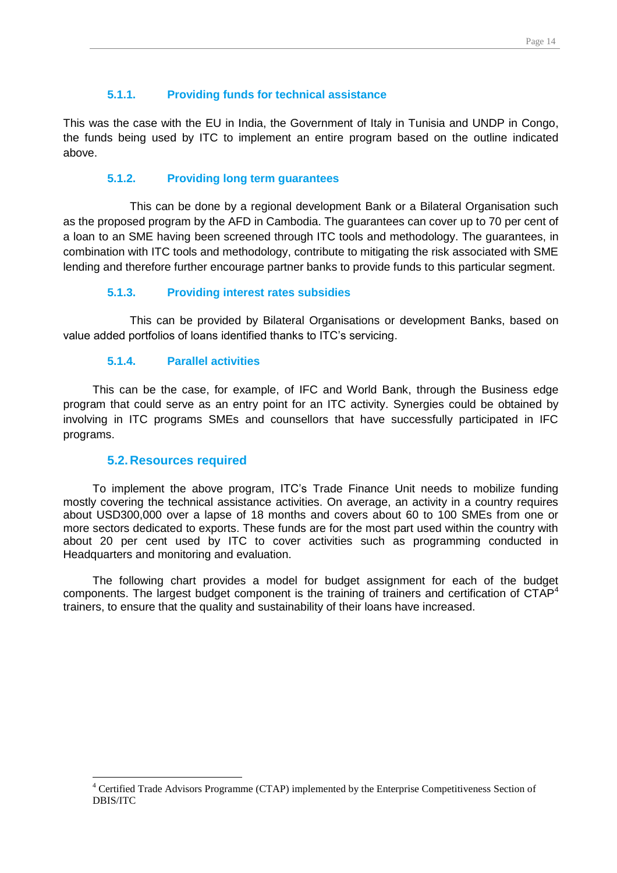## <span id="page-13-0"></span>**5.1.1. Providing funds for technical assistance**

This was the case with the EU in India, the Government of Italy in Tunisia and UNDP in Congo, the funds being used by ITC to implement an entire program based on the outline indicated above.

#### <span id="page-13-1"></span>**5.1.2. Providing long term guarantees**

This can be done by a regional development Bank or a Bilateral Organisation such as the proposed program by the AFD in Cambodia. The guarantees can cover up to 70 per cent of a loan to an SME having been screened through ITC tools and methodology. The guarantees, in combination with ITC tools and methodology, contribute to mitigating the risk associated with SME lending and therefore further encourage partner banks to provide funds to this particular segment.

#### <span id="page-13-2"></span>**5.1.3. Providing interest rates subsidies**

This can be provided by Bilateral Organisations or development Banks, based on value added portfolios of loans identified thanks to ITC's servicing.

#### <span id="page-13-3"></span>**5.1.4. Parallel activities**

This can be the case, for example, of IFC and World Bank, through the Business edge program that could serve as an entry point for an ITC activity. Synergies could be obtained by involving in ITC programs SMEs and counsellors that have successfully participated in IFC programs.

#### <span id="page-13-4"></span>**5.2.Resources required**

 $\overline{a}$ 

To implement the above program, ITC's Trade Finance Unit needs to mobilize funding mostly covering the technical assistance activities. On average, an activity in a country requires about USD300,000 over a lapse of 18 months and covers about 60 to 100 SMEs from one or more sectors dedicated to exports. These funds are for the most part used within the country with about 20 per cent used by ITC to cover activities such as programming conducted in Headquarters and monitoring and evaluation.

The following chart provides a model for budget assignment for each of the budget components. The largest budget component is the training of trainers and certification of  $\mathsf{CTAP}^4$ trainers, to ensure that the quality and sustainability of their loans have increased.

<sup>&</sup>lt;sup>4</sup> Certified Trade Advisors Programme (CTAP) implemented by the Enterprise Competitiveness Section of DBIS/ITC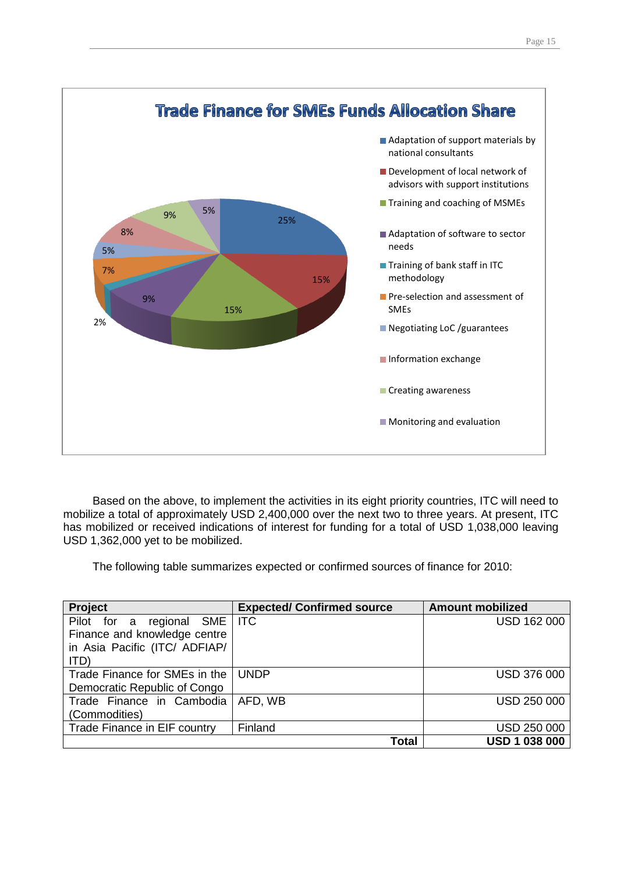

Based on the above, to implement the activities in its eight priority countries, ITC will need to mobilize a total of approximately USD 2,400,000 over the next two to three years. At present, ITC has mobilized or received indications of interest for funding for a total of USD 1,038,000 leaving USD 1,362,000 yet to be mobilized.

The following table summarizes expected or confirmed sources of finance for 2010:

| Project                              | <b>Expected/ Confirmed source</b> | <b>Amount mobilized</b> |
|--------------------------------------|-----------------------------------|-------------------------|
| SME   ITC<br>Pilot for a<br>regional |                                   | <b>USD 162 000</b>      |
| Finance and knowledge centre         |                                   |                         |
| in Asia Pacific (ITC/ ADFIAP/        |                                   |                         |
| ITD)                                 |                                   |                         |
| Trade Finance for SMEs in the        | <b>UNDP</b>                       | <b>USD 376 000</b>      |
| Democratic Republic of Congo         |                                   |                         |
| Trade Finance in Cambodia            | AFD, WB                           | <b>USD 250 000</b>      |
| (Commodities)                        |                                   |                         |
| Trade Finance in EIF country         | Finland                           | <b>USD 250 000</b>      |
|                                      | <b>Total</b>                      | <b>USD 1 038 000</b>    |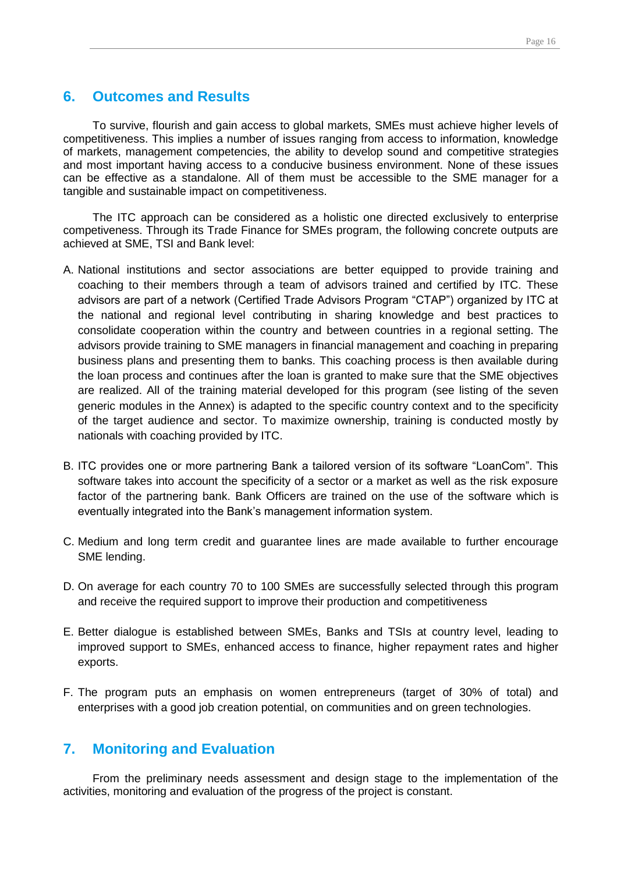## <span id="page-15-0"></span>**6. Outcomes and Results**

To survive, flourish and gain access to global markets, SMEs must achieve higher levels of competitiveness. This implies a number of issues ranging from access to information, knowledge of markets, management competencies, the ability to develop sound and competitive strategies and most important having access to a conducive business environment. None of these issues can be effective as a standalone. All of them must be accessible to the SME manager for a tangible and sustainable impact on competitiveness.

The ITC approach can be considered as a holistic one directed exclusively to enterprise competiveness. Through its Trade Finance for SMEs program, the following concrete outputs are achieved at SME, TSI and Bank level:

- A. National institutions and sector associations are better equipped to provide training and coaching to their members through a team of advisors trained and certified by ITC. These advisors are part of a network (Certified Trade Advisors Program "CTAP") organized by ITC at the national and regional level contributing in sharing knowledge and best practices to consolidate cooperation within the country and between countries in a regional setting. The advisors provide training to SME managers in financial management and coaching in preparing business plans and presenting them to banks. This coaching process is then available during the loan process and continues after the loan is granted to make sure that the SME objectives are realized. All of the training material developed for this program (see listing of the seven generic modules in the Annex) is adapted to the specific country context and to the specificity of the target audience and sector. To maximize ownership, training is conducted mostly by nationals with coaching provided by ITC.
- B. ITC provides one or more partnering Bank a tailored version of its software "LoanCom". This software takes into account the specificity of a sector or a market as well as the risk exposure factor of the partnering bank. Bank Officers are trained on the use of the software which is eventually integrated into the Bank's management information system.
- C. Medium and long term credit and guarantee lines are made available to further encourage SME lending.
- D. On average for each country 70 to 100 SMEs are successfully selected through this program and receive the required support to improve their production and competitiveness
- E. Better dialogue is established between SMEs, Banks and TSIs at country level, leading to improved support to SMEs, enhanced access to finance, higher repayment rates and higher exports.
- F. The program puts an emphasis on women entrepreneurs (target of 30% of total) and enterprises with a good job creation potential, on communities and on green technologies.

## <span id="page-15-1"></span>**7. Monitoring and Evaluation**

From the preliminary needs assessment and design stage to the implementation of the activities, monitoring and evaluation of the progress of the project is constant.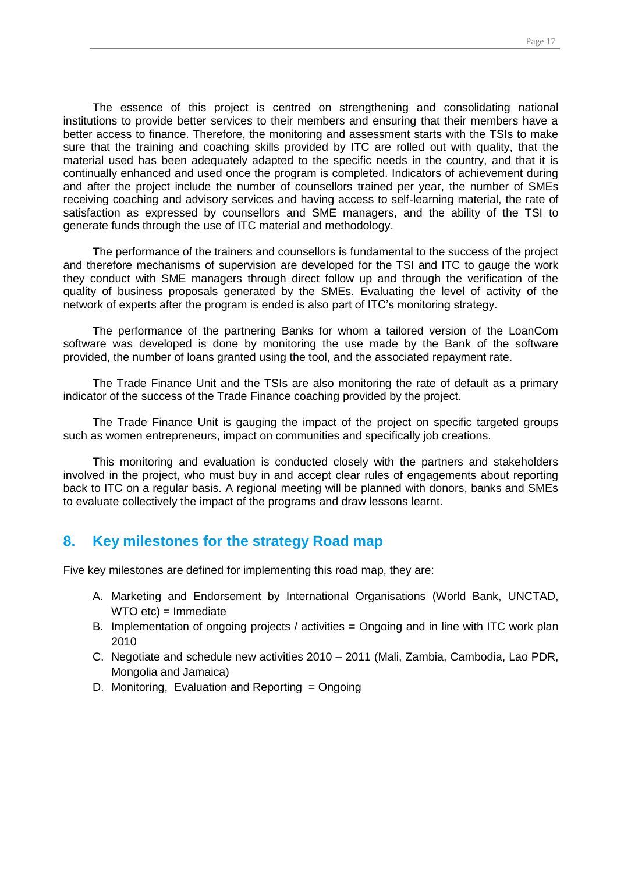The essence of this project is centred on strengthening and consolidating national institutions to provide better services to their members and ensuring that their members have a better access to finance. Therefore, the monitoring and assessment starts with the TSIs to make sure that the training and coaching skills provided by ITC are rolled out with quality, that the material used has been adequately adapted to the specific needs in the country, and that it is continually enhanced and used once the program is completed. Indicators of achievement during and after the project include the number of counsellors trained per year, the number of SMEs receiving coaching and advisory services and having access to self-learning material, the rate of satisfaction as expressed by counsellors and SME managers, and the ability of the TSI to generate funds through the use of ITC material and methodology.

The performance of the trainers and counsellors is fundamental to the success of the project and therefore mechanisms of supervision are developed for the TSI and ITC to gauge the work they conduct with SME managers through direct follow up and through the verification of the quality of business proposals generated by the SMEs. Evaluating the level of activity of the network of experts after the program is ended is also part of ITC's monitoring strategy.

The performance of the partnering Banks for whom a tailored version of the LoanCom software was developed is done by monitoring the use made by the Bank of the software provided, the number of loans granted using the tool, and the associated repayment rate.

The Trade Finance Unit and the TSIs are also monitoring the rate of default as a primary indicator of the success of the Trade Finance coaching provided by the project.

The Trade Finance Unit is gauging the impact of the project on specific targeted groups such as women entrepreneurs, impact on communities and specifically job creations.

This monitoring and evaluation is conducted closely with the partners and stakeholders involved in the project, who must buy in and accept clear rules of engagements about reporting back to ITC on a regular basis. A regional meeting will be planned with donors, banks and SMEs to evaluate collectively the impact of the programs and draw lessons learnt.

## <span id="page-16-0"></span>**8. Key milestones for the strategy Road map**

Five key milestones are defined for implementing this road map, they are:

- A. Marketing and Endorsement by International Organisations (World Bank, UNCTAD, WTO etc) = Immediate
- B. Implementation of ongoing projects / activities = Ongoing and in line with ITC work plan 2010
- C. Negotiate and schedule new activities 2010 2011 (Mali, Zambia, Cambodia, Lao PDR, Mongolia and Jamaica)
- D. Monitoring, Evaluation and Reporting  $=$  Ongoing